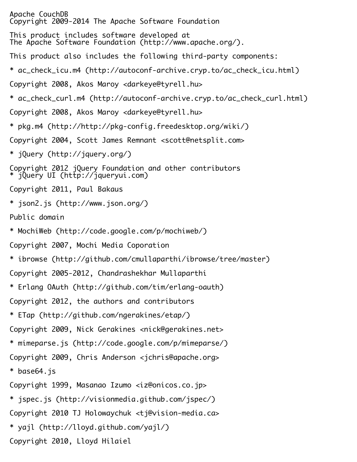Apache CouchDB Copyright 2009-2014 The Apache Software Foundation This product includes software developed at The Apache Software Foundation (http://www.apache.org/). This product also includes the following third-party components: \* ac\_check\_icu.m4 (http://autoconf-archive.cryp.to/ac\_check\_icu.html) Copyright 2008, Akos Maroy <darkeye@tyrell.hu> \* ac\_check\_curl.m4 (http://autoconf-archive.cryp.to/ac\_check\_curl.html) Copyright 2008, Akos Maroy <darkeye@tyrell.hu> \* pkg.m4 (http://http://pkg-config.freedesktop.org/wiki/) Copyright 2004, Scott James Remnant <scott@netsplit.com> \* jQuery (http://jquery.org/) Copyright 2012 jQuery Foundation and other contributors \* jQuery UI (http://jqueryui.com) Copyright 2011, Paul Bakaus \* json2.js (http://www.json.org/) Public domain \* MochiWeb (http://code.google.com/p/mochiweb/) Copyright 2007, Mochi Media Coporation \* ibrowse (http://github.com/cmullaparthi/ibrowse/tree/master) Copyright 2005-2012, Chandrashekhar Mullaparthi \* Erlang OAuth (http://github.com/tim/erlang-oauth) Copyright 2012, the authors and contributors \* ETap (http://github.com/ngerakines/etap/) Copyright 2009, Nick Gerakines <nick@gerakines.net> \* mimeparse.js (http://code.google.com/p/mimeparse/) Copyright 2009, Chris Anderson <jchris@apache.org> \* base64.js Copyright 1999, Masanao Izumo <iz@onicos.co.jp> \* jspec.js (http://visionmedia.github.com/jspec/) Copyright 2010 TJ Holowaychuk <tj@vision-media.ca> \* yajl (http://lloyd.github.com/yajl/) Copyright 2010, Lloyd Hilaiel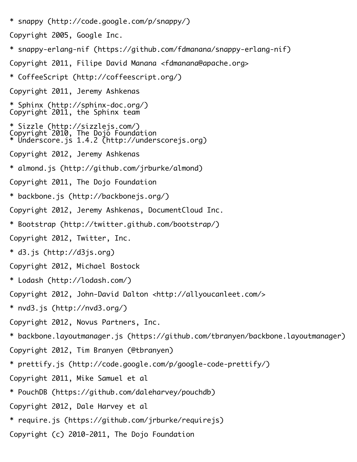\* snappy (http://code.google.com/p/snappy/)

```
Copyright 2005, Google Inc.
```
- \* snappy-erlang-nif (https://github.com/fdmanana/snappy-erlang-nif)
- Copyright 2011, Filipe David Manana <fdmanana@apache.org>
- \* CoffeeScript (http://coffeescript.org/)
- Copyright 2011, Jeremy Ashkenas
- \* Sphinx (http://sphinx-doc.org/) Copyright 2011, the Sphinx team
- \* Sizzle (http://sizzlejs.com/) Copyright 2010, The Dojo Foundation \* Underscore.js 1.4.2 (http://underscorejs.org)
- Copyright 2012, Jeremy Ashkenas
- \* almond.js (http://github.com/jrburke/almond)
- Copyright 2011, The Dojo Foundation
- \* backbone.js (http://backbonejs.org/)
- Copyright 2012, Jeremy Ashkenas, DocumentCloud Inc.
- \* Bootstrap (http://twitter.github.com/bootstrap/)
- Copyright 2012, Twitter, Inc.
- \* d3.js (http://d3js.org)
- Copyright 2012, Michael Bostock
- \* Lodash (http://lodash.com/)
- Copyright 2012, John-David Dalton <http://allyoucanleet.com/>
- \* nvd3.js (http://nvd3.org/)
- Copyright 2012, Novus Partners, Inc.
- \* backbone.layoutmanager.js (https://github.com/tbranyen/backbone.layoutmanager)
- Copyright 2012, Tim Branyen (@tbranyen)
- \* prettify.js (http://code.google.com/p/google-code-prettify/)
- Copyright 2011, Mike Samuel et al
- \* PouchDB (https://github.com/daleharvey/pouchdb)
- Copyright 2012, Dale Harvey et al
- \* require.js (https://github.com/jrburke/requirejs)
- Copyright (c) 2010-2011, The Dojo Foundation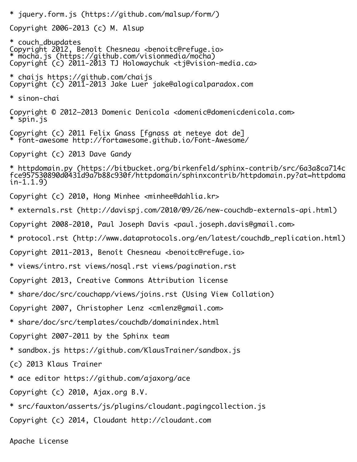- \* jquery.form.js (https://github.com/malsup/form/) Copyright 2006-2013 (c) M. Alsup \* couch\_dbupdates Copyright 2012, Benoît Chesneau <benoitc@refuge.io> \* mocha.js (https://github.com/visionmedia/mocha) Copyright (c) 2011-2013 TJ Holowaychuk <tj@vision-media.ca> \* chaijs https://github.com/chaijs Copyright (c) 2011-2013 Jake Luer jake@alogicalparadox.com \* sinon-chai Copyright © 2012–2013 Domenic Denicola <domenic@domenicdenicola.com> \* spin.js Copyright (c) 2011 Felix Gnass [fgnass at neteye dot de] \* font-awesome http://fortawesome.github.io/Font-Awesome/ Copyright (c) 2013 Dave Gandy \* httpdomain.py (https://bitbucket.org/birkenfeld/sphinx-contrib/src/6a3a8ca714c fce957530890d0431d9a7b88c930f/httpdomain/sphinxcontrib/httpdomain.py?at=httpdoma in-1.1.9) Copyright (c) 2010, Hong Minhee <minhee@dahlia.kr> \* externals.rst (http://davispj.com/2010/09/26/new-couchdb-externals-api.html) Copyright 2008-2010, Paul Joseph Davis <paul.joseph.davis@gmail.com> \* protocol.rst (http://www.dataprotocols.org/en/latest/couchdb\_replication.html) Copyright 2011-2013, Benoît Chesneau <benoitc@refuge.io> \* views/intro.rst views/nosql.rst views/pagination.rst Copyright 2013, Creative Commons Attribution license \* share/doc/src/couchapp/views/joins.rst (Using View Collation) Copyright 2007, Christopher Lenz <cmlenz@gmail.com> \* share/doc/src/templates/couchdb/domainindex.html Copyright 2007-2011 by the Sphinx team \* sandbox.js https://github.com/KlausTrainer/sandbox.js (c) 2013 Klaus Trainer \* ace editor https://github.com/ajaxorg/ace Copyright (c) 2010, Ajax.org B.V.
	- \* src/fauxton/asserts/js/plugins/cloudant.pagingcollection.js
	- Copyright (c) 2014, Cloudant http://cloudant.com

Apache License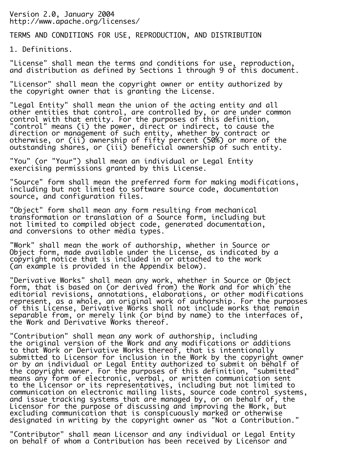Version 2.0, January 2004 http://www.apache.org/licenses/

TERMS AND CONDITIONS FOR USE, REPRODUCTION, AND DISTRIBUTION

1. Definitions.

"License" shall mean the terms and conditions for use, reproduction, and distribution as defined by Sections 1 through 9 of this document.

"Licensor" shall mean the copyright owner or entity authorized by the copyright owner that is granting the License.

"Legal Entity" shall mean the union of the acting entity and all other entities that control, are controlled by, or are under common control with that entity. For the purposes of this definition, "control" means (i) the power, direct or indirect, to cause the direction or management of such entity, whether by contract or otherwise, or (ii) ownership of fifty percent (50%) or more of the outstanding shares, or (iii) beneficial ownership of such entity.

"You" (or "Your") shall mean an individual or Legal Entity exercising permissions granted by this License.

"Source" form shall mean the preferred form for making modifications, including but not limited to software source code, documentation source, and configuration files.

"Object" form shall mean any form resulting from mechanical transformation or translation of a Source form, including but not limited to compiled object code, generated documentation, and conversions to other media types.

"Work" shall mean the work of authorship, whether in Source or Object form, made available under the License, as indicated by a copyright notice that is included in or attached to the work (an example is provided in the Appendix below).

"Derivative Works" shall mean any work, whether in Source or Object form, that is based on (or derived from) the Work and for which the editorial revisions, annotations, elaborations, or other modifications represent, as a whole, an original work of authorship. For the purposes of this License, Derivative Works shall not include works that remain separable from, or merely link (or bind by name) to the interfaces of, the Work and Derivative Works thereof.

"Contribution" shall mean any work of authorship, including the original version of the Work and any modifications or additions to that Work or Derivative Works thereof, that is intentionally submitted to Licensor for inclusion in the Work by the copyright owner or by an individual or Legal Entity authorized to submit on behalf of the copyright owner. For the purposes of this definition, "submitted" means any form of electronic, verbal, or written communication sent to the Licensor or its representatives, including but not limited to communication on electronic mailing lists, source code control systems, and issue tracking systems that are managed by, or on behalf of, the Licensor for the purpose of discussing and improving the Work, but excluding communication that is conspicuously marked or otherwise designated in writing by the copyright owner as "Not a Contribution."

"Contributor" shall mean Licensor and any individual or Legal Entity on behalf of whom a Contribution has been received by Licensor and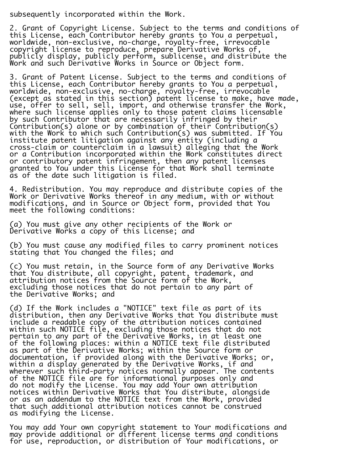subsequently incorporated within the Work.

2. Grant of Copyright License. Subject to the terms and conditions of this License, each Contributor hereby grants to You a perpetual, worldwide, non-exclusive, no-charge, royalty-free, irrevocable copyright license to reproduce, prepare Derivative Works of, publicly display, publicly perform, sublicense, and distribute the Work and such Derivative Works in Source or Object form.

3. Grant of Patent License. Subject to the terms and conditions of this License, each Contributor hereby grants to You a perpetual, worldwide, non-exclusive, no-charge, royalty-free, irrevocable (except as stated in this section) patent license to make, have made, use, offer to sell, sell, import, and otherwise transfer the Work, where such license applies only to those patent claims licensable by such Contributor that are necessarily infringed by their Contribution(s) alone or by combination of their Contribution(s) with the Work to which such Contribution(s) was submitted. If You institute patent litigation against any entity (including a cross-claim or counterclaim in a lawsuit) alleging that the Work or a Contribution incorporated within the Work constitutes direct or contributory patent infringement, then any patent licenses granted to You under this License for that Work shall terminate as of the date such litigation is filed.

4. Redistribution. You may reproduce and distribute copies of the Work or Derivative Works thereof in any medium, with or without modifications, and in Source or Object form, provided that You meet the following conditions:

(a) You must give any other recipients of the Work or Derivative Works a copy of this License; and

(b) You must cause any modified files to carry prominent notices stating that You changed the files; and

(c) You must retain, in the Source form of any Derivative Works that You distribute, all copyright, patent, trademark, and attribution notices from the Source form of the Work, excluding those notices that do not pertain to any part of the Derivative Works; and

(d) If the Work includes a "NOTICE" text file as part of its distribution, then any Derivative Works that You distribute must include a readable copy of the attribution notices contained within such NOTICE file, excluding those notices that do not pertain to any part of the Derivative Works, in at least one of the following places: within a NOTICE text file distributed as part of the Derivative Works; within the Source form or documentation, if provided along with the Derivative Works; or, within a display generated by the Derivative Works, if and wherever such third-party notices normally appear. The contents of the NOTICE file are for informational purposes only and do not modify the License. You may add Your own attribution notices within Derivative Works that You distribute, alongside or as an addendum to the NOTICE text from the Work, provided that such additional attribution notices cannot be construed as modifying the License.

You may add Your own copyright statement to Your modifications and may provide additional or different license terms and conditions for use, reproduction, or distribution of Your modifications, or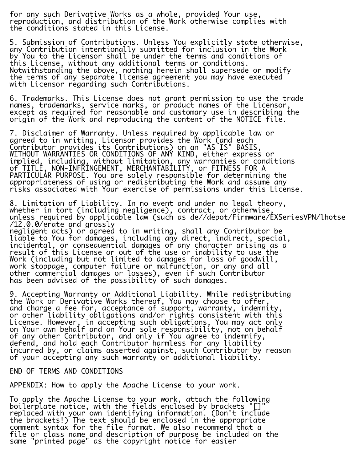for any such Derivative Works as a whole, provided Your use, reproduction, and distribution of the Work otherwise complies with the conditions stated in this License.

5. Submission of Contributions. Unless You explicitly state otherwise, any Contribution intentionally submitted for inclusion in the Work by You to the Licensor shall be under the terms and conditions of this License, without any additional terms or conditions. Notwithstanding the above, nothing herein shall supersede or modify the terms of any separate license agreement you may have executed with Licensor regarding such Contributions.

6. Trademarks. This License does not grant permission to use the trade names, trademarks, service marks, or product names of the Licensor, except as required for reasonable and customary use in describing the origin of the Work and reproducing the content of the NOTICE file.

7. Disclaimer of Warranty. Unless required by applicable law or agreed to in writing, Licensor provides the Work (and each Contributor provides its Contributions) on an "AS IS" BASIS, WITHOUT WARRANTIES OR CONDITIONS OF ANY KIND, either express or implied, including, without limitation, any warranties or conditions of TITLE, NON-INFRINGEMENT, MERCHANTABILITY, or FITNESS FOR A PARTICULAR PURPOSE. You are solely responsible for determining the appropriateness of using or redistributing the Work and assume any risks associated with Your exercise of permissions under this License.

8. Limitation of Liability. In no event and under no legal theory, whether in tort (including negligence), contract, or otherwise, unless required by applicable law (such as de//depot/Firmware/EXSeriesVPN/lhotse /12.0.0/erate and grossly

negligent acts) or agreed to in writing, shall any Contributor be liable to You for damages, including any direct, indirect, special, incidental, or consequential damages of any character arising as a result of this License or out of the use or inability to use the Work (including but not limited to damages for loss of goodwill, work stoppage, computer failure or malfunction, or any and all other commercial damages or losses), even if such Contributor has been advised of the possibility of such damages.

9. Accepting Warranty or Additional Liability. While redistributing the Work or Derivative Works thereof, You may choose to offer, and charge a fee for, acceptance of support, warranty, indemnity, or other liability obligations and/or rights consistent with this License. However, in accepting such obligations, You may act only on Your own behalf and on Your sole responsibility, not on behalf of any other Contributor, and only if You agree to indemnify, defend, and hold each Contributor harmless for any liability incurred by, or claims asserted against, such Contributor by reason of your accepting any such warranty or additional liability.

END OF TERMS AND CONDITIONS

APPENDIX: How to apply the Apache License to your work.

To apply the Apache License to your work, attach the following boilerplate notice, with the fields enclosed by brackets "[]" $\check{\phantom{a}}$ replaced with your own identifying information. (Don't include the brackets!) The text should be enclosed in the appropriate comment syntax for the file format. We also recommend that a file or class name and description of purpose be included on the same "printed page" as the copyright notice for easier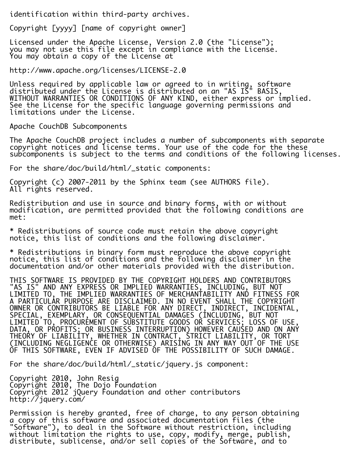identification within third-party archives.

Copyright [yyyy] [name of copyright owner]

Licensed under the Apache License, Version 2.0 (the "License"); you may not use this file except in compliance with the License. You may obtain a copy of the License at

http://www.apache.org/licenses/LICENSE-2.0

Unless required by applicable law or agreed to in writing, software distributed under the License is distributed on an "AS IS" BASIS, WITHOUT WARRANTIES OR CONDITIONS OF ANY KIND, either express or implied. See the License for the specific language governing permissions and limitations under the License.

Apache CouchDB Subcomponents

The Apache CouchDB project includes a number of subcomponents with separate copyright notices and license terms. Your use of the code for the these subcomponents is subject to the terms and conditions of the following licenses.

For the share/doc/build/html/\_static components:

Copyright (c) 2007-2011 by the Sphinx team (see AUTHORS file). All rights reserved.

Redistribution and use in source and binary forms, with or without modification, are permitted provided that the following conditions are met:

\* Redistributions of source code must retain the above copyright notice, this list of conditions and the following disclaimer.

\* Redistributions in binary form must reproduce the above copyright notice, this list of conditions and the following disclaimer in the documentation and/or other materials provided with the distribution.

THIS SOFTWARE IS PROVIDED BY THE COPYRIGHT HOLDERS AND CONTRIBUTORS "AS IS" AND ANY EXPRESS OR IMPLIED WARRANTIES, INCLUDING, BUT NOT LIMITED TO, THE IMPLIED WARRANTIES OF MERCHANTABILITY AND FITNESS FOR A PARTICULAR PURPOSE ARE DISCLAIMED. IN NO EVENT SHALL THE COPYRIGHT OWNER OR CONTRIBUTORS BE LIABLE FOR ANY DIRECT, INDIRECT, INCIDENTAL, SPECIAL, EXEMPLARY, OR CONSEQUENTIAL DAMAGES (INCLUDING, BUT NOT LIMITED TO, PROCUREMENT OF SUBSTITUTE GOODS OR SERVICES; LOSS OF USE, DATA, OR PROFITS; OR BUSINESS INTERRUPTION) HOWEVER CAUSED AND ON ANY THEORY OF LIABILITY, WHETHER IN CONTRACT, STRICT LIABILITY, OR TORT (INCLUDING NEGLIGENCE OR OTHERWISE) ARISING IN ANY WAY OUT OF THE USE OF THIS SOFTWARE, EVEN IF ADVISED OF THE POSSIBILITY OF SUCH DAMAGE.

For the share/doc/build/html/\_static/jquery.js component:

Copyright 2010, John Resig Copyright 2010, The Dojo Foundation Copyright 2012 jQuery Foundation and other contributors http://jquery.com/

Permission is hereby granted, free of charge, to any person obtaining a copy of this software and associated documentation files (the "Software"), to deal in the Software without restriction, including without limitation the rights to use, copy, modify, merge, publish, distribute, sublicense, and/or sell copies of the Software, and to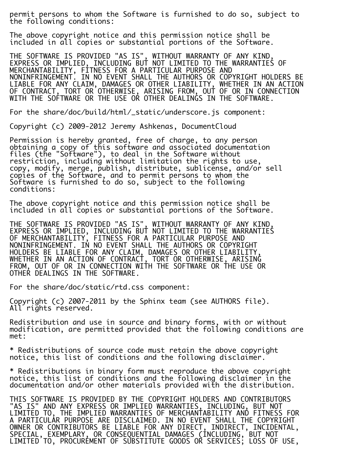permit persons to whom the Software is furnished to do so, subject to the following conditions:

The above copyright notice and this permission notice shall be included in all copies or substantial portions of the Software.

THE SOFTWARE IS PROVIDED "AS IS", WITHOUT WARRANTY OF ANY KIND, EXPRESS OR IMPLIED, INCLUDING BUT NOT LIMITED TO THE WARRANTIES OF MERCHANTABILITY, FITNESS FOR A PARTICULAR PURPOSE AND NONINFRINGEMENT. IN NO EVENT SHALL THE AUTHORS OR COPYRIGHT HOLDERS BE LIABLE FOR ANY CLAIM, DAMAGES OR OTHER LIABILITY, WHETHER IN AN ACTION OF CONTRACT, TORT OR OTHERWISE, ARISING FROM, OUT OF OR IN CONNECTION WITH THE SOFTWARE OR THE USE OR OTHER DEALINGS IN THE SOFTWARE.

For the share/doc/build/html/\_static/underscore.js component:

Copyright (c) 2009-2012 Jeremy Ashkenas, DocumentCloud

Permission is hereby granted, free of charge, to any person obtaining a copy of this software and associated documentation files (the "Software"), to deal in the Software without restriction, including without limitation the rights to use, copy, modify, merge, publish, distribute, sublicense, and/or sell copies of the Software, and to permit persons to whom the Software is furnished to do so, subject to the following conditions:

The above copyright notice and this permission notice shall be included in all copies or substantial portions of the Software.

THE SOFTWARE IS PROVIDED "AS IS", WITHOUT WARRANTY OF ANY KIND, EXPRESS OR IMPLIED, INCLUDING BUT NOT LIMITED TO THE WARRANTIES OF MERCHANTABILITY, FITNESS FOR A PARTICULAR PURPOSE AND NONINFRINGEMENT. IN NO EVENT SHALL THE AUTHORS OR COPYRIGHT HOLDERS BE LIABLE FOR ANY CLAIM, DAMAGES OR OTHER LIABILITY, WHETHER IN AN ACTION OF CONTRACT, TORT OR OTHERWISE, ARISING FROM, OUT OF OR IN CONNECTION WITH THE SOFTWARE OR THE USE OR OTHER DEALINGS IN THE SOFTWARE.

For the share/doc/static/rtd.css component:

Copyright (c) 2007-2011 by the Sphinx team (see AUTHORS file). All rights reserved.

Redistribution and use in source and binary forms, with or without modification, are permitted provided that the following conditions are met:

\* Redistributions of source code must retain the above copyright notice, this list of conditions and the following disclaimer.

\* Redistributions in binary form must reproduce the above copyright notice, this list of conditions and the following disclaimer in the documentation and/or other materials provided with the distribution.

THIS SOFTWARE IS PROVIDED BY THE COPYRIGHT HOLDERS AND CONTRIBUTORS "AS IS" AND ANY EXPRESS OR IMPLIED WARRANTIES, INCLUDING, BUT NOT LIMITED TO, THE IMPLIED WARRANTIES OF MERCHANTABILITY AND FITNESS FOR A PARTICULAR PURPOSE ARE DISCLAIMED. IN NO EVENT SHALL THE COPYRIGHT OWNER OR CONTRIBUTORS BE LIABLE FOR ANY DIRECT, INDIRECT, INCIDENTAL, SPECIAL, EXEMPLARY, OR CONSEQUENTIAL DAMAGES (INCLUDING, BUT NOT LIMITED TO, PROCUREMENT OF SUBSTITUTE GOODS OR SERVICES; LOSS OF USE,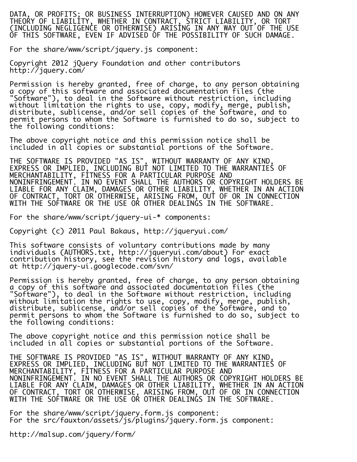DATA, OR PROFITS; OR BUSINESS INTERRUPTION) HOWEVER CAUSED AND ON ANY THEORY OF LIABILITY, WHETHER IN CONTRACT, STRICT LIABILITY, OR TORT (INCLUDING NEGLIGENCE OR OTHERWISE) ARISING IN ANY WAY OUT OF THE USE OF THIS SOFTWARE, EVEN IF ADVISED OF THE POSSIBILITY OF SUCH DAMAGE.

For the share/www/script/jquery.js component:

Copyright 2012 jQuery Foundation and other contributors http://jquery.com/

Permission is hereby granted, free of charge, to any person obtaining a copy of this software and associated documentation files (the "Software"), to deal in the Software without restriction, including without limitation the rights to use, copy, modify, merge, publish, distribute, sublicense, and/or sell copies of the Software, and to permit persons to whom the Software is furnished to do so, subject to the following conditions:

The above copyright notice and this permission notice shall be included in all copies or substantial portions of the Software.

THE SOFTWARE IS PROVIDED "AS IS", WITHOUT WARRANTY OF ANY KIND, EXPRESS OR IMPLIED, INCLUDING BUT NOT LIMITED TO THE WARRANTIES OF MERCHANTABILITY, FITNESS FOR A PARTICULAR PURPOSE AND NONINFRINGEMENT. IN NO EVENT SHALL THE AUTHORS OR COPYRIGHT HOLDERS BE LIABLE FOR ANY CLAIM, DAMAGES OR OTHER LIABILITY, WHETHER IN AN ACTION OF CONTRACT, TORT OR OTHERWISE, ARISING FROM, OUT OF OR IN CONNECTION WITH THE SOFTWARE OR THE USE OR OTHER DEALINGS IN THE SOFTWARE.

For the share/www/script/jquery-ui-\* components:

Copyright (c) 2011 Paul Bakaus, http://jqueryui.com/

This software consists of voluntary contributions made by many individuals (AUTHORS.txt, http://jqueryui.com/about) For exact contribution history, see the revision history and logs, available at http://jquery-ui.googlecode.com/svn/

Permission is hereby granted, free of charge, to any person obtaining a copy of this software and associated documentation files (the "Software"), to deal in the Software without restriction, including without limitation the rights to use, copy, modify, merge, publish, distribute, sublicense, and/or sell copies of the Software, and to permit persons to whom the Software is furnished to do so, subject to the following conditions:

The above copyright notice and this permission notice shall be included in all copies or substantial portions of the Software.

THE SOFTWARE IS PROVIDED "AS IS", WITHOUT WARRANTY OF ANY KIND, EXPRESS OR IMPLIED, INCLUDING BUT NOT LIMITED TO THE WARRANTIES OF MERCHANTABILITY, FITNESS FOR A PARTICULAR PURPOSE AND NONINFRINGEMENT. IN NO EVENT SHALL THE AUTHORS OR COPYRIGHT HOLDERS BE LIABLE FOR ANY CLAIM, DAMAGES OR OTHER LIABILITY, WHETHER IN AN ACTION OF CONTRACT, TORT OR OTHERWISE, ARISING FROM, OUT OF OR IN CONNECTION WITH THE SOFTWARE OR THE USE OR OTHER DEALINGS IN THE SOFTWARE.

For the share/www/script/jquery.form.js component: For the src/fauxton/assets/js/plugins/jquery.form.js component:

http://malsup.com/jquery/form/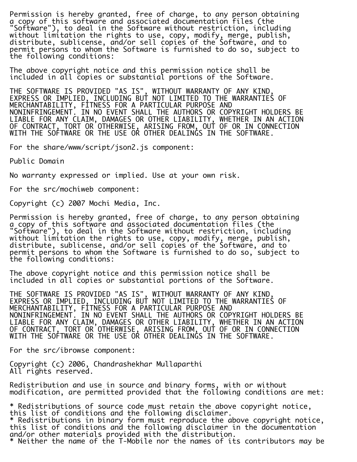Permission is hereby granted, free of charge, to any person obtaining a copy of this software and associated documentation files (the "Software"), to deal in the Software without restriction, including without limitation the rights to use, copy, modify, merge, publish, distribute, sublicense, and/or sell copies of the Software, and to permit persons to whom the Software is furnished to do so, subject to the following conditions:

The above copyright notice and this permission notice shall be included in all copies or substantial portions of the Software.

THE SOFTWARE IS PROVIDED "AS IS", WITHOUT WARRANTY OF ANY KIND, EXPRESS OR IMPLIED, INCLUDING BUT NOT LIMITED TO THE WARRANTIES OF MERCHANTABILITY, FITNESS FOR A PARTICULAR PURPOSE AND NONINFRINGEMENT. IN NO EVENT SHALL THE AUTHORS OR COPYRIGHT HOLDERS BE LIABLE FOR ANY CLAIM, DAMAGES OR OTHER LIABILITY, WHETHER IN AN ACTION OF CONTRACT, TORT OR OTHERWISE, ARISING FROM, OUT OF OR IN CONNECTION WITH THE SOFTWARE OR THE USE OR OTHER DEALINGS IN THE SOFTWARE.

For the share/www/script/json2.js component:

Public Domain

No warranty expressed or implied. Use at your own risk.

For the src/mochiweb component:

Copyright (c) 2007 Mochi Media, Inc.

Permission is hereby granted, free of charge, to any person obtaining a copy of this software and associated documentation files (the "Software"), to deal in the Software without restriction, including without limitation the rights to use, copy, modify, merge, publish, distribute, sublicense, and/or sell copies of the Software, and to permit persons to whom the Software is furnished to do so, subject to the following conditions:

The above copyright notice and this permission notice shall be included in all copies or substantial portions of the Software.

THE SOFTWARE IS PROVIDED "AS IS", WITHOUT WARRANTY OF ANY KIND, EXPRESS OR IMPLIED, INCLUDING BUT NOT LIMITED TO THE WARRANTIES OF MERCHANTABILITY, FITNESS FOR A PARTICULAR PURPOSE AND NONINFRINGEMENT. IN NO EVENT SHALL THE AUTHORS OR COPYRIGHT HOLDERS BE LIABLE FOR ANY CLAIM, DAMAGES OR OTHER LIABILITY, WHETHER IN AN ACTION OF CONTRACT, TORT OR OTHERWISE, ARISING FROM, OUT OF OR IN CONNECTION WITH THE SOFTWARE OR THE USE OR OTHER DEALINGS IN THE SOFTWARE.

For the src/ibrowse component:

Copyright (c) 2006, Chandrashekhar Mullaparthi All rights reserved.

Redistribution and use in source and binary forms, with or without modification, are permitted provided that the following conditions are met:

\* Redistributions of source code must retain the above copyright notice, this list of conditions and the following disclaimer. \* Redistributions in binary form must reproduce the above copyright notice, this list of conditions and the following disclaimer in the documentation and/or other materials provided with the distribution. \* Neither the name of the T-Mobile nor the names of its contributors may be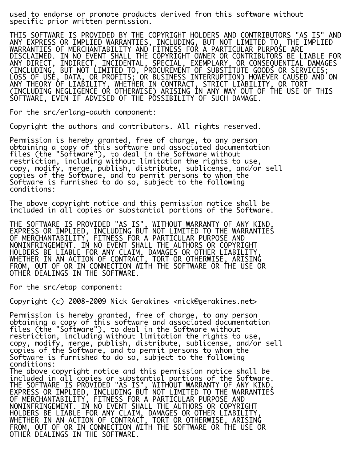used to endorse or promote products derived from this software without specific prior written permission.

THIS SOFTWARE IS PROVIDED BY THE COPYRIGHT HOLDERS AND CONTRIBUTORS "AS IS" AND ANY EXPRESS OR IMPLIED WARRANTIES, INCLUDING, BUT NOT LIMITED TO, THE IMPLIED WARRANTIES OF MERCHANTABILITY AND FITNESS FOR A PARTICULAR PURPOSE ARE DISCLAIMED. IN NO EVENT SHALL THE COPYRIGHT OWNER OR CONTRIBUTORS BE LIABLE FOR ANY DIRECT, INDIRECT, INCIDENTAL, SPECIAL, EXEMPLARY, OR CONSEQUENTIAL DAMAGES (INCLUDING, BUT NOT LIMITED TO, PROCUREMENT OF SUBSTITUTE GOODS OR SERVICES; LOSS OF USE, DATA, OR PROFITS; OR BUSINESS INTERRUPTION) HOWEVER CAUSED AND ON ANY THEORY OF LIABILITY, WHETHER IN CONTRACT, STRICT LIABILITY, OR TORT (INCLUDING NEGLIGENCE OR OTHERWISE) ARISING IN ANY WAY OUT OF THE USE OF THIS SOFTWARE, EVEN IF ADVISED OF THE POSSIBILITY OF SUCH DAMAGE.

For the src/erlang-oauth component:

Copyright the authors and contributors. All rights reserved.

Permission is hereby granted, free of charge, to any person obtaining a copy of this software and associated documentation files (the "Software"), to deal in the Software without restriction, including without limitation the rights to use, copy, modify, merge, publish, distribute, sublicense, and/or sell copies of the Software, and to permit persons to whom the Software is furnished to do so, subject to the following conditions:

The above copyright notice and this permission notice shall be included in all copies or substantial portions of the Software.

THE SOFTWARE IS PROVIDED "AS IS", WITHOUT WARRANTY OF ANY KIND, EXPRESS OR IMPLIED, INCLUDING BUT NOT LIMITED TO THE WARRANTIES OF MERCHANTABILITY, FITNESS FOR A PARTICULAR PURPOSE AND NONINFRINGEMENT. IN NO EVENT SHALL THE AUTHORS OR COPYRIGHT HOLDERS BE LIABLE FOR ANY CLAIM, DAMAGES OR OTHER LIABILITY, WHETHER IN AN ACTION OF CONTRACT, TORT OR OTHERWISE, ARISING FROM, OUT OF OR IN CONNECTION WITH THE SOFTWARE OR THE USE OR OTHER DEALINGS IN THE SOFTWARE.

For the src/etap component:

Copyright (c) 2008-2009 Nick Gerakines <nick@gerakines.net>

Permission is hereby granted, free of charge, to any person obtaining a copy of this software and associated documentation files (the "Software"), to deal in the Software without restriction, including without limitation the rights to use, copy, modify, merge, publish, distribute, sublicense, and/or sell copies of the Software, and to permit persons to whom the Software is furnished to do so, subject to the following conditions:

The above copyright notice and this permission notice shall be included in all copies or substantial portions of the Software. THE SOFTWARE IS PROVIDED "AS IS", WITHOUT WARRANTY OF ANY KIND, EXPRESS OR IMPLIED, INCLUDING BUT NOT LIMITED TO THE WARRANTIES OF MERCHANTABILITY, FITNESS FOR A PARTICULAR PURPOSE AND NONINFRINGEMENT. IN NO EVENT SHALL THE AUTHORS OR COPYRIGHT HOLDERS BE LIABLE FOR ANY CLAIM, DAMAGES OR OTHER LIABILITY, WHETHER IN AN ACTION OF CONTRACT, TORT OR OTHERWISE, ARISING FROM, OUT OF OR IN CONNECTION WITH THE SOFTWARE OR THE USE OR OTHER DEALINGS IN THE SOFTWARE.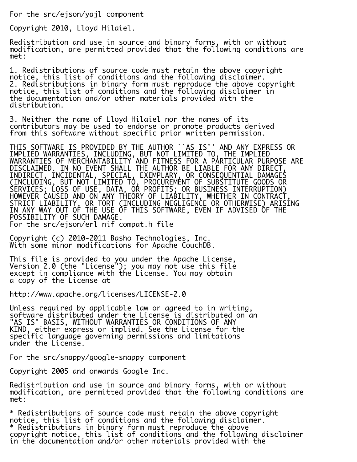For the src/ejson/yajl component

Copyright 2010, Lloyd Hilaiel.

Redistribution and use in source and binary forms, with or without modification, are permitted provided that the following conditions are met:

1. Redistributions of source code must retain the above copyright notice, this list of conditions and the following disclaimer. 2. Redistributions in binary form must reproduce the above copyright notice, this list of conditions and the following disclaimer in the documentation and/or other materials provided with the distribution.

3. Neither the name of Lloyd Hilaiel nor the names of its contributors may be used to endorse or promote products derived from this software without specific prior written permission.

THIS SOFTWARE IS PROVIDED BY THE AUTHOR ``AS IS'' AND ANY EXPRESS OR IMPLIED WARRANTIES, INCLUDING, BUT NOT LIMITED TO, THE IMPLIED WARRANTIES OF MERCHANTABILITY AND FITNESS FOR A PARTICULAR PURPOSE ARE DISCLAIMED. IN NO EVENT SHALL THE AUTHOR BE LIABLE FOR ANY DIRECT, INDIRECT, INCIDENTAL, SPECIAL, EXEMPLARY, OR CONSEQUENTIAL DAMAGES (INCLUDING, BUT NOT LIMITED TO, PROCUREMENT OF SUBSTITUTE GOODS OR SERVICES; LOSS OF USE, DATA, OR PROFITS; OR BUSINESS INTERRUPTION) HOWEVER CAUSED AND ON ANY THEORY OF LIABILITY, WHETHER IN CONTRACT, STRICT LIABILITY, OR TORT (INCLUDING NEGLIGENCE OR OTHERWISE) ARISING IN ANY WAY OUT OF THE USE OF THIS SOFTWARE, EVEN IF ADVISED OF THE POSSIBILITY OF SUCH DAMAGE. For the src/ejson/erl\_nif\_compat.h file

Copyright (c) 2010-2011 Basho Technologies, Inc. With some minor modifications for Apache CouchDB.

This file is provided to you under the Apache License, Version 2.0 (the "License"); you may not use this file except in compliance with the License. You may obtain a copy of the License at

http://www.apache.org/licenses/LICENSE-2.0

Unless required by applicable law or agreed to in writing, software distributed under the License is distributed on an "AS IS" BASIS, WITHOUT WARRANTIES OR CONDITIONS OF ANY KIND, either express or implied. See the License for the specific language governing permissions and limitations under the License.

For the src/snappy/google-snappy component

Copyright 2005 and onwards Google Inc.

Redistribution and use in source and binary forms, with or without modification, are permitted provided that the following conditions are met:

\* Redistributions of source code must retain the above copyright notice, this list of conditions and the following disclaimer. \* Redistributions in binary form must reproduce the above copyright notice, this list of conditions and the following disclaimer in the documentation and/or other materials provided with the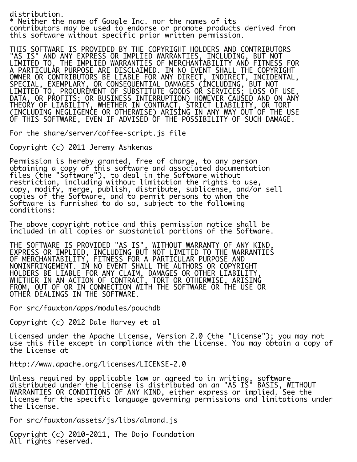distribution. \* Neither the name of Google Inc. nor the names of its contributors may be used to endorse or promote products derived from this software without specific prior written permission.

THIS SOFTWARE IS PROVIDED BY THE COPYRIGHT HOLDERS AND CONTRIBUTORS "AS IS" AND ANY EXPRESS OR IMPLIED WARRANTIES, INCLUDING, BUT NOT LIMITED TO, THE IMPLIED WARRANTIES OF MERCHANTABILITY AND FITNESS FOR A PARTICULAR PURPOSE ARE DISCLAIMED. IN NO EVENT SHALL THE COPYRIGHT OWNER OR CONTRIBUTORS BE LIABLE FOR ANY DIRECT, INDIRECT, INCIDENTAL, SPECIAL, EXEMPLARY, OR CONSEQUENTIAL DAMAGES (INCLUDING, BUT NOT LIMITED TO, PROCUREMENT OF SUBSTITUTE GOODS OR SERVICES; LOSS OF USE, DATA, OR PROFITS; OR BUSINESS INTERRUPTION) HOWEVER CAUSED AND ON ANY THEORY OF LIABILITY, WHETHER IN CONTRACT, STRICT LIABILITY, OR TORT (INCLUDING NEGLIGENCE OR OTHERWISE) ARISING IN ANY WAY OUT OF THE USE OF THIS SOFTWARE, EVEN IF ADVISED OF THE POSSIBILITY OF SUCH DAMAGE.

For the share/server/coffee-script.js file

Copyright (c) 2011 Jeremy Ashkenas

Permission is hereby granted, free of charge, to any person obtaining a copy of this software and associated documentation files (the "Software"), to deal in the Software without restriction, including without limitation the rights to use, copy, modify, merge, publish, distribute, sublicense, and/or sell copies of the Software, and to permit persons to whom the Software is furnished to do so, subject to the following conditions:

The above copyright notice and this permission notice shall be included in all copies or substantial portions of the Software.

THE SOFTWARE IS PROVIDED "AS IS", WITHOUT WARRANTY OF ANY KIND, EXPRESS OR IMPLIED, INCLUDING BUT NOT LIMITED TO THE WARRANTIES OF MERCHANTABILITY, FITNESS FOR A PARTICULAR PURPOSE AND NONINFRINGEMENT. IN NO EVENT SHALL THE AUTHORS OR COPYRIGHT HOLDERS BE LIABLE FOR ANY CLAIM, DAMAGES OR OTHER LIABILITY, WHETHER IN AN ACTION OF CONTRACT, TORT OR OTHERWISE, ARISING FROM, OUT OF OR IN CONNECTION WITH THE SOFTWARE OR THE USE OR OTHER DEALINGS IN THE SOFTWARE.

For src/fauxton/apps/modules/pouchdb

Copyright (c) 2012 Dale Harvey et al

Licensed under the Apache License, Version 2.0 (the "License"); you may not use this file except in compliance with the License. You may obtain a copy of the License at

http://www.apache.org/licenses/LICENSE-2.0

Unless required by applicable law or agreed to in writing, software distributed under the License is distributed on an "AS IS" BASIS, WITHOUT WARRANTIES OR CONDITIONS OF ANY KIND, either express or implied. See the License for the specific language governing permissions and limitations under the License.

For src/fauxton/assets/js/libs/almond.js

Copyright (c) 2010-2011, The Dojo Foundation All rights reserved.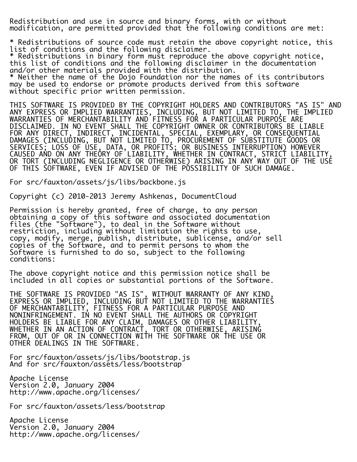Redistribution and use in source and binary forms, with or without modification, are permitted provided that the following conditions are met:

\* Redistributions of source code must retain the above copyright notice, this list of conditions and the following disclaimer.

\* Redistributions in binary form must reproduce the above copyright notice, this list of conditions and the following disclaimer in the documentation and/or other materials provided with the distribution.

\* Neither the name of the Dojo Foundation nor the names of its contributors may be used to endorse or promote products derived from this software without specific prior written permission.

THIS SOFTWARE IS PROVIDED BY THE COPYRIGHT HOLDERS AND CONTRIBUTORS "AS IS" AND ANY EXPRESS OR IMPLIED WARRANTIES, INCLUDING, BUT NOT LIMITED TO, THE IMPLIED WARRANTIES OF MERCHANTABILITY AND FITNESS FOR A PARTICULAR PURPOSE ARE DISCLAIMED. IN NO EVENT SHALL THE COPYRIGHT OWNER OR CONTRIBUTORS BE LIABLE FOR ANY DIRECT, INDIRECT, INCIDENTAL, SPECIAL, EXEMPLARY, OR CONSEQUENTIAL DAMAGES (INCLUDING, BUT NOT LIMITED TO, PROCUREMENT OF SUBSTITUTE GOODS OR SERVICES; LOSS OF USE, DATA, OR PROFITS; OR BUSINESS INTERRUPTION) HOWEVER CAUSED AND ON ANY THEORY OF LIABILITY, WHETHER IN CONTRACT, STRICT LIABILITY, OR TORT (INCLUDING NEGLIGENCE OR OTHERWISE) ARISING IN ANY WAY OUT OF THE USE OF THIS SOFTWARE, EVEN IF ADVISED OF THE POSSIBILITY OF SUCH DAMAGE.

For src/fauxton/assets/js/libs/backbone.js

Copyright (c) 2010-2013 Jeremy Ashkenas, DocumentCloud

Permission is hereby granted, free of charge, to any person obtaining a copy of this software and associated documentation files (the "Software"), to deal in the Software without restriction, including without limitation the rights to use, copy, modify, merge, publish, distribute, sublicense, and/or sell copies of the Software, and to permit persons to whom the Software is furnished to do so, subject to the following conditions:

The above copyright notice and this permission notice shall be included in all copies or substantial portions of the Software.

THE SOFTWARE IS PROVIDED "AS IS", WITHOUT WARRANTY OF ANY KIND, EXPRESS OR IMPLIED, INCLUDING BUT NOT LIMITED TO THE WARRANTIES OF MERCHANTABILITY, FITNESS FOR A PARTICULAR PURPOSE AND NONINFRINGEMENT. IN NO EVENT SHALL THE AUTHORS OR COPYRIGHT HOLDERS BE LIABLE FOR ANY CLAIM, DAMAGES OR OTHER LIABILITY, WHETHER IN AN ACTION OF CONTRACT, TORT OR OTHERWISE, ARISING FROM, OUT OF OR IN CONNECTION WITH THE SOFTWARE OR THE USE OR OTHER DEALINGS IN THE SOFTWARE.

For src/fauxton/assets/js/libs/bootstrap.js And for src/fauxton/assets/less/bootstrap

Apache License Version 2.0, January 2004 http://www.apache.org/licenses/

For src/fauxton/assets/less/bootstrap

Apache License Version 2.0, January 2004 http://www.apache.org/licenses/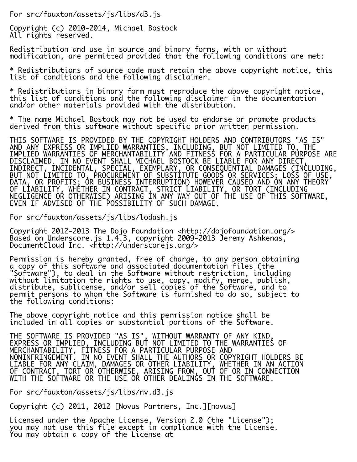For src/fauxton/assets/js/libs/d3.js

Copyright (c) 2010-2014, Michael Bostock All rights reserved.

Redistribution and use in source and binary forms, with or without modification, are permitted provided that the following conditions are met:

\* Redistributions of source code must retain the above copyright notice, this list of conditions and the following disclaimer.

\* Redistributions in binary form must reproduce the above copyright notice, this list of conditions and the following disclaimer in the documentation and/or other materials provided with the distribution.

\* The name Michael Bostock may not be used to endorse or promote products derived from this software without specific prior written permission.

THIS SOFTWARE IS PROVIDED BY THE COPYRIGHT HOLDERS AND CONTRIBUTORS "AS IS" AND ANY EXPRESS OR IMPLIED WARRANTIES, INCLUDING, BUT NOT LIMITED TO, THE IMPLIED WARRANTIES OF MERCHANTABILITY AND FITNESS FOR A PARTICULAR PURPOSE ARE DISCLAIMED. IN NO EVENT SHALL MICHAEL BOSTOCK BE LIABLE FOR ANY DIRECT, INDIRECT, INCIDENTAL, SPECIAL, EXEMPLARY, OR CONSEQUENTIAL DAMAGES (INCLUDING, BUT NOT LIMITED TO, PROCUREMENT OF SUBSTITUTE GOODS OR SERVICES; LOSS OF USE,  $\,$ DATA, OR PROFITS; OR BUSINESS INTERRUPTION) HOWEVER CAUSED AND ON ANY THEORY OF LIABILITY, WHETHER IN CONTRACT, STRICT LIABILITY, OR TORT (INCLUDING NEGLIGENCE OR OTHERWISE) ARISING IN ANY WAY OUT OF THE USE OF THIS SOFTWARE, EVEN IF ADVISED OF THE POSSIBILITY OF SUCH DAMAGE.

For src/fauxton/assets/js/libs/lodash.js

Copyright 2012-2013 The Dojo Foundation <http://dojofoundation.org/> Based on Underscore.js 1.4.3, copyright 2009-2013 Jeremy Ashkenas, DocumentCloud Inc. <http://underscorejs.org/>

Permission is hereby granted, free of charge, to any person obtaining a copy of this software and associated documentation files (the "Software"), to deal in the Software without restriction, including without limitation the rights to use, copy, modify, merge, publish, distribute, sublicense, and/or sell copies of the Software, and to permit persons to whom the Software is furnished to do so, subject to the following conditions:

The above copyright notice and this permission notice shall be included in all copies or substantial portions of the Software.

THE SOFTWARE IS PROVIDED "AS IS", WITHOUT WARRANTY OF ANY KIND, EXPRESS OR IMPLIED, INCLUDING BUT NOT LIMITED TO THE WARRANTIES OF MERCHANTABILITY, FITNESS FOR A PARTICULAR PURPOSE AND NONINFRINGEMENT. IN NO EVENT SHALL THE AUTHORS OR COPYRIGHT HOLDERS BE LIABLE FOR ANY CLAIM, DAMAGES OR OTHER LIABILITY, WHETHER IN AN ACTION OF CONTRACT, TORT OR OTHERWISE, ARISING FROM, OUT OF OR IN CONNECTION WITH THE SOFTWARE OR THE USE OR OTHER DEALINGS IN THE SOFTWARE.

For src/fauxton/assets/js/libs/nv.d3.js

Copyright (c) 2011, 2012 [Novus Partners, Inc.][novus]

Licensed under the Apache License, Version 2.0 (the "License"); you may not use this file except in compliance with the License. You may obtain a copy of the License at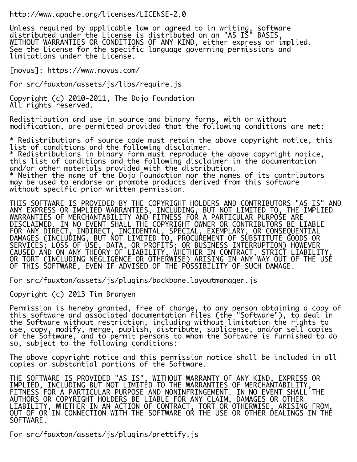http://www.apache.org/licenses/LICENSE-2.0

Unless required by applicable law or agreed to in writing, software distributed under the License is distributed on an "AS IS" BASIS, WITHOUT WARRANTIES OR CONDITIONS OF ANY KIND, either express or implied. See the License for the specific language governing permissions and limitations under the License.

[novus]: https://www.novus.com/

For src/fauxton/assets/js/libs/require.js

Copyright (c) 2010-2011, The Dojo Foundation All rights reserved.

Redistribution and use in source and binary forms, with or without modification, are permitted provided that the following conditions are met:

\* Redistributions of source code must retain the above copyright notice, this list of conditions and the following disclaimer. \* Redistributions in binary form must reproduce the above copyright notice, this list of conditions and the following disclaimer in the documentation and/or other materials provided with the distribution. \* Neither the name of the Dojo Foundation nor the names of its contributors may be used to endorse or promote products derived from this software without specific prior written permission.

THIS SOFTWARE IS PROVIDED BY THE COPYRIGHT HOLDERS AND CONTRIBUTORS "AS IS" AND ANY EXPRESS OR IMPLIED WARRANTIES, INCLUDING, BUT NOT LIMITED TO, THE IMPLIED WARRANTIES OF MERCHANTABILITY AND FITNESS FOR A PARTICULAR PURPOSE ARE DISCLAIMED. IN NO EVENT SHALL THE COPYRIGHT OWNER OR CONTRIBUTORS BE LIABLE FOR ANY DIRECT, INDIRECT, INCIDENTAL, SPECIAL, EXEMPLARY, OR CONSEQUENTIAL DAMAGES (INCLUDING, BUT NOT LIMITED TO, PROCUREMENT OF SUBSTITUTE GOODS OR SERVICES; LOSS OF USE, DATA, OR PROFITS; OR BUSINESS INTERRUPTION) HOWEVER CAUSED AND ON ANY THEORY OF LIABILITY, WHETHER IN CONTRACT, STRICT LIABILITY, OR TORT (INCLUDING NEGLIGENCE OR OTHERWISE) ARISING IN ANY WAY OUT OF THE USE OF THIS SOFTWARE, EVEN IF ADVISED OF THE POSSIBILITY OF SUCH DAMAGE.

For src/fauxton/assets/js/plugins/backbone.layoutmanager.js

Copyright (c) 2013 Tim Branyen

Permission is hereby granted, free of charge, to any person obtaining a copy of this software and associated documentation files (the "Software"), to deal in the Software without restriction, including without limitation the rights to use, copy, modify, merge, publish, distribute, sublicense, and/or sell copies of the Software, and to permit persons to whom the Software is furnished to do so, subject to the following conditions:

The above copyright notice and this permission notice shall be included in all copies or substantial portions of the Software.

THE SOFTWARE IS PROVIDED "AS IS", WITHOUT WARRANTY OF ANY KIND, EXPRESS OR IMPLIED, INCLUDING BUT NOT LIMITED TO THE WARRANTIES OF MERCHANTABILITY, FITNESS FOR A PARTICULAR PURPOSE AND NONINFRINGEMENT. IN NO EVENT SHALL THE AUTHORS OR COPYRIGHT HOLDERS BE LIABLE FOR ANY CLAIM, DAMAGES OR OTHER LIABILITY, WHETHER IN AN ACTION OF CONTRACT, TORT OR OTHERWISE, ARISING FROM, OUT OF OR IN CONNECTION WITH THE SOFTWARE OR THE USE OR OTHER DEALINGS IN THE SOFTWARE.

For src/fauxton/assets/js/plugins/prettify.js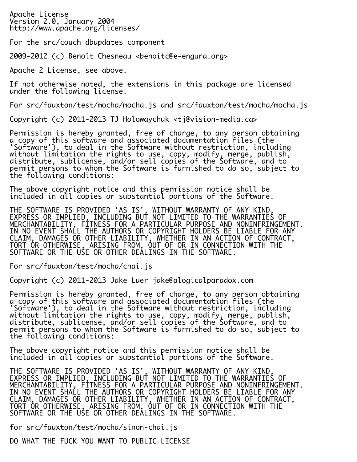Apache License Version 2.0, January 2004 http://www.apache.org/licenses/

For the src/couch\_dbupdates component

2009-2012 (c) Benoît Chesneau <benoitc@e-engura.org>

Apache 2 License, see above.

If not otherwise noted, the extensions in this package are licensed under the following license.

For src/fauxton/test/mocha/mocha.js and src/fauxton/test/mocha/mocha.js

Copyright (c) 2011-2013 TJ Holowaychuk <tj@vision-media.ca>

Permission is hereby granted, free of charge, to any person obtaining a copy of this software and associated documentation files (the 'Software'), to deal in the Software without restriction, including without limitation the rights to use, copy, modify, merge, publish, distribute, sublicense, and/or sell copies of the Software, and to permit persons to whom the Software is furnished to do so, subject to the following conditions:

The above copyright notice and this permission notice shall be included in all copies or substantial portions of the Software.

THE SOFTWARE IS PROVIDED 'AS IS', WITHOUT WARRANTY OF ANY KIND, EXPRESS OR IMPLIED, INCLUDING BUT NOT LIMITED TO THE WARRANTIES OF MERCHANTABILITY, FITNESS FOR A PARTICULAR PURPOSE AND NONINFRINGEMENT. IN NO EVENT SHALL THE AUTHORS OR COPYRIGHT HOLDERS BE LIABLE FOR ANY CLAIM, DAMAGES OR OTHER LIABILITY, WHETHER IN AN ACTION OF CONTRACT, TORT OR OTHERWISE, ARISING FROM, OUT OF OR IN CONNECTION WITH THE SOFTWARE OR THE USE OR OTHER DEALINGS IN THE SOFTWARE.

For src/fauxton/test/mocha/chai.js

Copyright (c) 2011-2013 Jake Luer jake@alogicalparadox.com

Permission is hereby granted, free of charge, to any person obtaining a copy of this software and associated documentation files (the 'Software'), to deal in the Software without restriction, including without limitation the rights to use, copy, modify, merge, publish, distribute, sublicense, and/or sell copies of the Software, and to permit persons to whom the Software is furnished to do so, subject to the following conditions:

The above copyright notice and this permission notice shall be included in all copies or substantial portions of the Software.

THE SOFTWARE IS PROVIDED 'AS IS', WITHOUT WARRANTY OF ANY KIND, EXPRESS OR IMPLIED, INCLUDING BUT NOT LIMITED TO THE WARRANTIES OF MERCHANTABILITY, FITNESS FOR A PARTICULAR PURPOSE AND NONINFRINGEMENT. IN NO EVENT SHALL THE AUTHORS OR COPYRIGHT HOLDERS BE LIABLE FOR ANY CLAIM, DAMAGES OR OTHER LIABILITY, WHETHER IN AN ACTION OF CONTRACT, TORT OR OTHERWISE, ARISING FROM, OUT OF OR IN CONNECTION WITH THE SOFTWARE OR THE USE OR OTHER DEALINGS IN THE SOFTWARE.

for src/fauxton/test/mocha/sinon-chai.js

DO WHAT THE FUCK YOU WANT TO PUBLIC LICENSE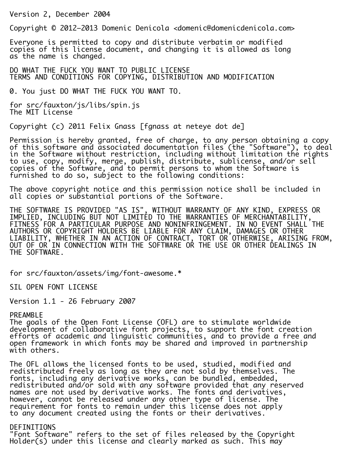Version 2, December 2004

Copyright © 2012–2013 Domenic Denicola <domenic@domenicdenicola.com>

Everyone is permitted to copy and distribute verbatim or modified copies of this license document, and changing it is allowed as long as the name is changed.

DO WHAT THE FUCK YOU WANT TO PUBLIC LICENSE TERMS AND CONDITIONS FOR COPYING, DISTRIBUTION AND MODIFICATION

0. You just DO WHAT THE FUCK YOU WANT TO.

for src/fauxton/js/libs/spin.js The MIT License

Copyright (c) 2011 Felix Gnass [fgnass at neteye dot de]

Permission is hereby granted, free of charge, to any person obtaining a copy of this software and associated documentation files (the "Software"), to deal in the Software without restriction, including without limitation the rights to use, copy, modify, merge, publish, distribute, sublicense, and/or sell copies of the Software, and to permit persons to whom the Software is furnished to do so, subject to the following conditions:

The above copyright notice and this permission notice shall be included in all copies or substantial portions of the Software.

THE SOFTWARE IS PROVIDED "AS IS", WITHOUT WARRANTY OF ANY KIND, EXPRESS OR IMPLIED, INCLUDING BUT NOT LIMITED TO THE WARRANTIES OF MERCHANTABILITY, FITNESS FOR A PARTICULAR PURPOSE AND NONINFRINGEMENT. IN NO EVENT SHALL THE AUTHORS OR COPYRIGHT HOLDERS BE LIABLE FOR ANY CLAIM, DAMAGES OR OTHER LIABILITY, WHETHER IN AN ACTION OF CONTRACT, TORT OR OTHERWISE, ARISING FROM, OUT OF OR IN CONNECTION WITH THE SOFTWARE OR THE USE OR OTHER DEALINGS IN THE SOFTWARE.

for src/fauxton/assets/img/font-awesome.\*

SIL OPEN FONT LICENSE

Version 1.1 - 26 February 2007

#### PREAMBLE

The goals of the Open Font License (OFL) are to stimulate worldwide development of collaborative font projects, to support the font creation efforts of academic and linguistic communities, and to provide a free and open framework in which fonts may be shared and improved in partnership with others.

The OFL allows the licensed fonts to be used, studied, modified and redistributed freely as long as they are not sold by themselves. The fonts, including any derivative works, can be bundled, embedded, redistributed and/or sold with any software provided that any reserved names are not used by derivative works. The fonts and derivatives, however, cannot be released under any other type of license. The requirement for fonts to remain under this license does not apply to any document created using the fonts or their derivatives.

# DEFINITIONS

"Font Software" refers to the set of files released by the Copyright Holder(s) under this license and clearly marked as such. This may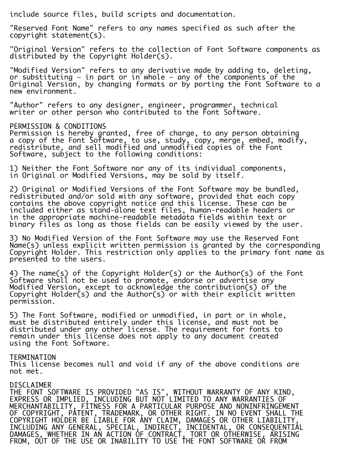include source files, build scripts and documentation.

"Reserved Font Name" refers to any names specified as such after the copyright statement(s).

"Original Version" refers to the collection of Font Software components as distributed by the Copyright Holder(s).

"Modified Version" refers to any derivative made by adding to, deleting, or substituting — in part or in whole — any of the components of the Original Version, by changing formats or by porting the Font Software to a new environment.

"Author" refers to any designer, engineer, programmer, technical writer or other person who contributed to the Font Software.

## PERMISSION & CONDITIONS

Permission is hereby granted, free of charge, to any person obtaining a copy of the Font Software, to use, study, copy, merge, embed, modify, redistribute, and sell modified and unmodified copies of the Font Software, subject to the following conditions:

1) Neither the Font Software nor any of its individual components, in Original or Modified Versions, may be sold by itself.

2) Original or Modified Versions of the Font Software may be bundled, redistributed and/or sold with any software, provided that each copy contains the above copyright notice and this license. These can be included either as stand-alone text files, human-readable headers or in the appropriate machine-readable metadata fields within text or binary files as long as those fields can be easily viewed by the user.

3) No Modified Version of the Font Software may use the Reserved Font Name(s) unless explicit written permission is granted by the corresponding Copyright Holder. This restriction only applies to the primary font name as presented to the users.

4) The name(s) of the Copyright Holder(s) or the Author(s) of the Font Software shall not be used to promote, endorse or advertise any Modified Version, except to acknowledge the contribution(s) of the Copyright Holder(s) and the Author(s) or with their explicit written permission. i.

5) The Font Software, modified or unmodified, in part or in whole, must be distributed entirely under this license, and must not be distributed under any other license. The requirement for fonts to remain under this license does not apply to any document created using the Font Software.

#### TERMINATION

This license becomes null and void if any of the above conditions are not met.

## DISCLAIMER

THE FONT SOFTWARE IS PROVIDED "AS IS", WITHOUT WARRANTY OF ANY KIND, EXPRESS OR IMPLIED, INCLUDING BUT NOT LIMITED TO ANY WARRANTIES OF MERCHANTABILITY, FITNESS FOR A PARTICULAR PURPOSE AND NONINFRINGEMENT OF COPYRIGHT, PATENT, TRADEMARK, OR OTHER RIGHT. IN NO EVENT SHALL THE COPYRIGHT HOLDER BE LIABLE FOR ANY CLAIM, DAMAGES OR OTHER LIABILITY, INCLUDING ANY GENERAL, SPECIAL, INDIRECT, INCIDENTAL, OR CONSEQUENTIAL DAMAGES, WHETHER IN AN ACTION OF CONTRACT, TORT OR OTHERWISE, ARISING FROM, OUT OF THE USE OR INABILITY TO USE THE FONT SOFTWARE OR FROM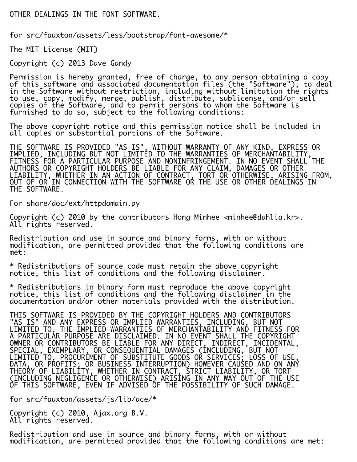# OTHER DEALINGS IN THE FONT SOFTWARE.

for src/fauxton/assets/less/bootstrap/font-awesome/\*

The MIT License (MIT)

Copyright (c) 2013 Dave Gandy

Permission is hereby granted, free of charge, to any person obtaining a copy of this software and associated documentation files (the "Software"), to deal in the Software without restriction, including without limitation the rights to use, copy, modify, merge, publish, distribute, sublicense, and/or sell copies of the Software, and to permit persons to whom the Software is furnished to do so, subject to the following conditions:

The above copyright notice and this permission notice shall be included in all copies or substantial portions of the Software.

THE SOFTWARE IS PROVIDED "AS IS", WITHOUT WARRANTY OF ANY KIND, EXPRESS OR IMPLIED, INCLUDING BUT NOT LIMITED TO THE WARRANTIES OF MERCHANTABILITY, FITNESS FOR A PARTICULAR PURPOSE AND NONINFRINGEMENT. IN NO EVENT SHALL THE AUTHORS OR COPYRIGHT HOLDERS BE LIABLE FOR ANY CLAIM, DAMAGES OR OTHER LIABILITY, WHETHER IN AN ACTION OF CONTRACT, TORT OR OTHERWISE, ARISING FROM, OUT OF OR IN CONNECTION WITH THE SOFTWARE OR THE USE OR OTHER DEALINGS IN THE SOFTWARE.

For share/doc/ext/httpdomain.py

Copyright (c) 2010 by the contributors Hong Minhee <minhee@dahlia.kr>. All rights reserved.

Redistribution and use in source and binary forms, with or without modification, are permitted provided that the following conditions are met:

\* Redistributions of source code must retain the above copyright notice, this list of conditions and the following disclaimer.

\* Redistributions in binary form must reproduce the above copyright notice, this list of conditions and the following disclaimer in the documentation and/or other materials provided with the distribution.

THIS SOFTWARE IS PROVIDED BY THE COPYRIGHT HOLDERS AND CONTRIBUTORS "AS IS" AND ANY EXPRESS OR IMPLIED WARRANTIES, INCLUDING, BUT NOT LIMITED TO, THE IMPLIED WARRANTIES OF MERCHANTABILITY AND FITNESS FOR A PARTICULAR PURPOSE ARE DISCLAIMED. IN NO EVENT SHALL THE COPYRIGHT OWNER OR CONTRIBUTORS BE LIABLE FOR ANY DIRECT, INDIRECT, INCIDENTAL, SPECIAL, EXEMPLARY, OR CONSEQUENTIAL DAMAGES (INCLUDING, BUT NOT LIMITED TO, PROCUREMENT OF SUBSTITUTE GOODS OR SERVICES; LOSS OF USE, DATA, OR PROFITS; OR BUSINESS INTERRUPTION) HOWEVER CAUSED AND ON ANY THEORY OF LIABILITY, WHETHER IN CONTRACT, STRICT LIABILITY, OR TORT (INCLUDING NEGLIGENCE OR OTHERWISE) ARISING IN ANY WAY OUT OF THE USE OF THIS SOFTWARE, EVEN IF ADVISED OF THE POSSIBILITY OF SUCH DAMAGE.

for src/fauxton/assets/js/lib/ace/\*

Copyright (c) 2010, Ajax.org B.V. All rights reserved.

Redistribution and use in source and binary forms, with or without modification, are permitted provided that the following conditions are met: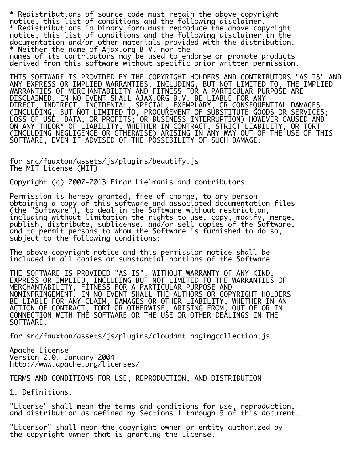\* Redistributions of source code must retain the above copyright notice, this list of conditions and the following disclaimer. \* Redistributions in binary form must reproduce the above copyright notice, this list of conditions and the following disclaimer in the documentation and/or other materials provided with the distribution. \* Neither the name of Ajax.org B.V. nor the names of its contributors may be used to endorse or promote products derived from this software without specific prior written permission.

THIS SOFTWARE IS PROVIDED BY THE COPYRIGHT HOLDERS AND CONTRIBUTORS "AS IS" AND ANY EXPRESS OR IMPLIED WARRANTIES, INCLUDING, BUT NOT LIMITED TO, THE IMPLIED WARRANTIES OF MERCHANTABILITY AND FITNESS FOR A PARTICULAR PURPOSE ARE DISCLAIMED. IN NO EVENT SHALL AJAX.ORG B.V. BE LIABLE FOR ANY DIRECT, INDIRECT, INCIDENTAL, SPECIAL, EXEMPLARY, OR CONSEQUENTIAL DAMAGES (INCLUDING, BUT NOT LIMITED TO, PROCUREMENT OF SUBSTITUTE GOODS OR SERVICES; LOSS OF USE, DATA, OR PROFITS; OR BUSINESS INTERRUPTION) HOWEVER CAUSED AND ON ANY THEORY OF LIABILITY, WHETHER IN CONTRACT, STRICT LIABILITY, OR TORT (INCLUDING NEGLIGENCE OR OTHERWISE) ARISING IN ANY WAY OUT OF THE USE OF THIS SOFTWARE, EVEN IF ADVISED OF THE POSSIBILITY OF SUCH DAMAGE.

for src/fauxton/assets/js/plugins/beautify.js The MIT License (MIT)

Copyright (c) 2007-2013 Einar Lielmanis and contributors.

Permission is hereby granted, free of charge, to any person obtaining a copy of this software and associated documentation files (the "Software"), to deal in the Software without restriction, including without limitation the rights to use, copy, modify, merge, publish, distribute, sublicense, and/or sell copies of the Software, and to permit persons to whom the Software is furnished to do so, subject to the following conditions:

The above copyright notice and this permission notice shall be included in all copies or substantial portions of the Software.

THE SOFTWARE IS PROVIDED "AS IS", WITHOUT WARRANTY OF ANY KIND, EXPRESS OR IMPLIED, INCLUDING BUT NOT LIMITED TO THE WARRANTIES OF MERCHANTABILITY, FITNESS FOR A PARTICULAR PURPOSE AND NONINFRINGEMENT. IN NO EVENT SHALL THE AUTHORS OR COPYRIGHT HOLDERS BE LIABLE FOR ANY CLAIM, DAMAGES OR OTHER LIABILITY, WHETHER IN AN ACTION OF CONTRACT, TORT OR OTHERWISE, ARISING FROM, OUT OF OR IN CONNECTION WITH THE SOFTWARE OR THE USE OR OTHER DEALINGS IN THE SOFTWARE.

for src/fauxton/assets/js/plugins/cloudant.pagingcollection.js

Apache License Version 2.0, January 2004 http://www.apache.org/licenses/

TERMS AND CONDITIONS FOR USE, REPRODUCTION, AND DISTRIBUTION

1. Definitions.

"License" shall mean the terms and conditions for use, reproduction, and distribution as defined by Sections 1 through 9 of this document.

"Licensor" shall mean the copyright owner or entity authorized by the copyright owner that is granting the License.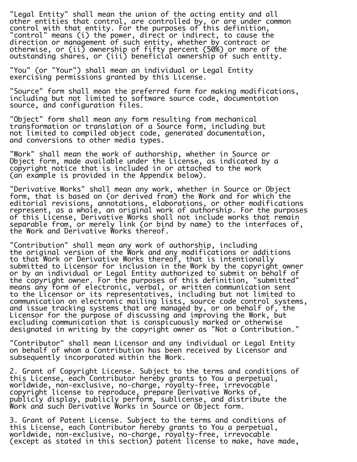"Legal Entity" shall mean the union of the acting entity and all other entities that control, are controlled by, or are under common control with that entity. For the purposes of this definition, "control" means (i) the power, direct or indirect, to cause the direction or management of such entity, whether by contract or otherwise, or (ii) ownership of fifty percent (50%) or more of the outstanding shares, or (iii) beneficial ownership of such entity.

"You" (or "Your") shall mean an individual or Legal Entity exercising permissions granted by this License.

"Source" form shall mean the preferred form for making modifications, including but not limited to software source code, documentation source, and configuration files.

"Object" form shall mean any form resulting from mechanical transformation or translation of a Source form, including but not limited to compiled object code, generated documentation, and conversions to other media types.

"Work" shall mean the work of authorship, whether in Source or Object form, made available under the License, as indicated by a copyright notice that is included in or attached to the work (an example is provided in the Appendix below).

"Derivative Works" shall mean any work, whether in Source or Object form, that is based on (or derived from) the Work and for which the editorial revisions, annotations, elaborations, or other modifications represent, as a whole, an original work of authorship. For the purposes of this License, Derivative Works shall not include works that remain separable from, or merely link (or bind by name) to the interfaces of, the Work and Derivative Works thereof.

"Contribution" shall mean any work of authorship, including the original version of the Work and any modifications or additions to that Work or Derivative Works thereof, that is intentionally submitted to Licensor for inclusion in the Work by the copyright owner or by an individual or Legal Entity authorized to submit on behalf of the copyright owner. For the purposes of this definition, "submitted" means any form of electronic, verbal, or written communication sent to the Licensor or its representatives, including but not limited to communication on electronic mailing lists, source code control systems, and issue tracking systems that are managed by, or on behalf of, the Licensor for the purpose of discussing and improving the Work, but excluding communication that is conspicuously marked or otherwise designated in writing by the copyright owner as "Not a Contribution."

"Contributor" shall mean Licensor and any individual or Legal Entity on behalf of whom a Contribution has been received by Licensor and subsequently incorporated within the Work.

2. Grant of Copyright License. Subject to the terms and conditions of this License, each Contributor hereby grants to You a perpetual, worldwide, non-exclusive, no-charge, royalty-free, irrevocable copyright license to reproduce, prepare Derivative Works of, publicly display, publicly perform, sublicense, and distribute the Work and such Derivative Works in Source or Object form.

3. Grant of Patent License. Subject to the terms and conditions of this License, each Contributor hereby grants to You a perpetual, worldwide, non-exclusive, no-charge, royalty-free, irrevocable (except as stated in this section) patent license to make, have made,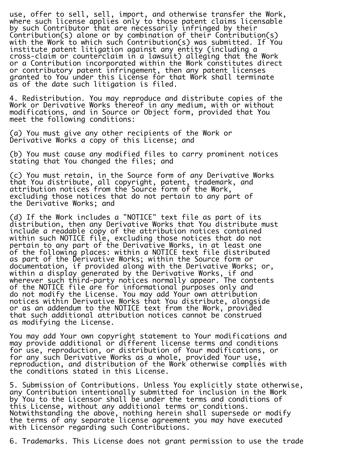use, offer to sell, sell, import, and otherwise transfer the Work, where such license applies only to those patent claims licensable by such Contributor that are necessarily infringed by their Contribution(s) alone or by combination of their Contribution(s) with the Work to which such Contribution(s) was submitted. If You institute patent litigation against any entity (including a cross-claim or counterclaim in a lawsuit) alleging that the Work or a Contribution incorporated within the Work constitutes direct or contributory patent infringement, then any patent licenses granted to You under this License for that Work shall terminate as of the date such litigation is filed.

4. Redistribution. You may reproduce and distribute copies of the Work or Derivative Works thereof in any medium, with or without modifications, and in Source or Object form, provided that You meet the following conditions:

(a) You must give any other recipients of the Work or Derivative Works a copy of this License; and

(b) You must cause any modified files to carry prominent notices stating that You changed the files; and

(c) You must retain, in the Source form of any Derivative Works that You distribute, all copyright, patent, trademark, and attribution notices from the Source form of the Work, excluding those notices that do not pertain to any part of the Derivative Works; and

(d) If the Work includes a "NOTICE" text file as part of its distribution, then any Derivative Works that You distribute must include a readable copy of the attribution notices contained within such NOTICE file, excluding those notices that do not pertain to any part of the Derivative Works, in at least one of the following places: within a NOTICE text file distributed as part of the Derivative Works; within the Source form or documentation, if provided along with the Derivative Works; or, within a display generated by the Derivative Works, if and wherever such third-party notices normally appear. The contents of the NOTICE file are for informational purposes only and do not modify the License. You may add Your own attribution notices within Derivative Works that You distribute, alongside or as an addendum to the NOTICE text from the Work, provided that such additional attribution notices cannot be construed as modifying the License.

You may add Your own copyright statement to Your modifications and may provide additional or different license terms and conditions for use, reproduction, or distribution of Your modifications, or for any such Derivative Works as a whole, provided Your use, reproduction, and distribution of the Work otherwise complies with the conditions stated in this License.

5. Submission of Contributions. Unless You explicitly state otherwise, any Contribution intentionally submitted for inclusion in the Work by You to the Licensor shall be under the terms and conditions of this License, without any additional terms or conditions. Notwithstanding the above, nothing herein shall supersede or modify the terms of any separate license agreement you may have executed with Licensor regarding such Contributions.

6. Trademarks. This License does not grant permission to use the trade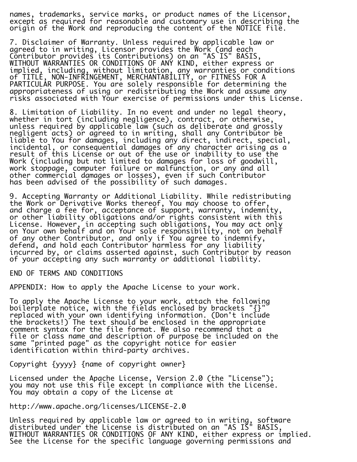names, trademarks, service marks, or product names of the Licensor, except as required for reasonable and customary use in describing the origin of the Work and reproducing the content of the NOTICE file.

7. Disclaimer of Warranty. Unless required by applicable law or agreed to in writing, Licensor provides the Work (and each Contributor provides its Contributions) on an "AS IS" BASIS, WITHOUT WARRANTIES OR CONDITIONS OF ANY KIND, either express or implied, including, without limitation, any warranties or conditions of TITLE, NON-INFRINGEMENT, MERCHANTABILITY, or FITNESS FOR A PARTICULAR PURPOSE. You are solely responsible for determining the appropriateness of using or redistributing the Work and assume any risks associated with Your exercise of permissions under this License.

8. Limitation of Liability. In no event and under no legal theory, whether in tort (including negligence), contract, or otherwise, unless required by applicable law (such as deliberate and grossly negligent acts) or agreed to in writing, shall any Contributor be liable to You for damages, including any direct, indirect, special, incidental, or consequential damages of any character arising as a result of this License or out of the use or inability to use the Work (including but not limited to damages for loss of goodwill, work stoppage, computer failure or malfunction, or any and all other commercial damages or losses), even if such Contributor has been advised of the possibility of such damages.

9. Accepting Warranty or Additional Liability. While redistributing the Work or Derivative Works thereof, You may choose to offer, and charge a fee for, acceptance of support, warranty, indemnity, or other liability obligations and/or rights consistent with this License. However, in accepting such obligations, You may act only on Your own behalf and on Your sole responsibility, not on behalf of any other Contributor, and only if You agree to indemnify, defend, and hold each Contributor harmless for any liability incurred by, or claims asserted against, such Contributor by reason of your accepting any such warranty or additional liability.

END OF TERMS AND CONDITIONS

APPENDIX: How to apply the Apache License to your work.

To apply the Apache License to your work, attach the following boilerplate notice, with the fields enclosed by brackets "{}"  $\,$ replaced with your own identifying information. (Don't include the brackets!) The text should be enclosed in the appropriate comment syntax for the file format. We also recommend that a file or class name and description of purpose be included on the same "printed page" as the copyright notice for easier identification within third-party archives.

Copyright {yyyy} {name of copyright owner}

Licensed under the Apache License, Version 2.0 (the "License"); you may not use this file except in compliance with the License. You may obtain a copy of the License at

http://www.apache.org/licenses/LICENSE-2.0

Unless required by applicable law or agreed to in writing, software distributed under the License is distributed on an "AS IS" BASIS, WITHOUT WARRANTIES OR CONDITIONS OF ANY KIND, either express or implied. See the License for the specific language governing permissions and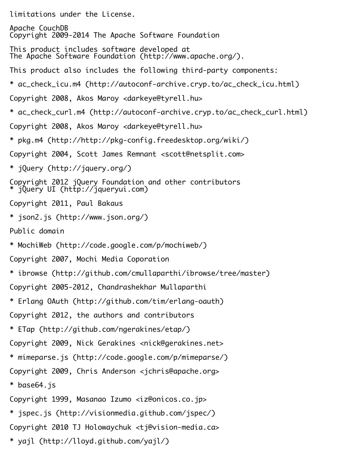limitations under the License.

Apache CouchDB Copyright 2009-2014 The Apache Software Foundation

- This product includes software developed at The Apache Software Foundation (http://www.apache.org/).
- This product also includes the following third-party components:
- \* ac\_check\_icu.m4 (http://autoconf-archive.cryp.to/ac\_check\_icu.html)
- Copyright 2008, Akos Maroy <darkeye@tyrell.hu>
- \* ac\_check\_curl.m4 (http://autoconf-archive.cryp.to/ac\_check\_curl.html)
- Copyright 2008, Akos Maroy <darkeye@tyrell.hu>
- \* pkg.m4 (http://http://pkg-config.freedesktop.org/wiki/)
- Copyright 2004, Scott James Remnant <scott@netsplit.com>
- \* jQuery (http://jquery.org/)
- Copyright 2012 jQuery Foundation and other contributors \* jQuery UI (http://jqueryui.com)
- Copyright 2011, Paul Bakaus
- \* json2.js (http://www.json.org/)
- Public domain
- \* MochiWeb (http://code.google.com/p/mochiweb/)
- Copyright 2007, Mochi Media Coporation
- \* ibrowse (http://github.com/cmullaparthi/ibrowse/tree/master)
- Copyright 2005-2012, Chandrashekhar Mullaparthi
- \* Erlang OAuth (http://github.com/tim/erlang-oauth)
- Copyright 2012, the authors and contributors
- \* ETap (http://github.com/ngerakines/etap/)
- Copyright 2009, Nick Gerakines <nick@gerakines.net>
- \* mimeparse.js (http://code.google.com/p/mimeparse/)
- Copyright 2009, Chris Anderson <jchris@apache.org>
- \* base64.js

Copyright 1999, Masanao Izumo <iz@onicos.co.jp>

- \* jspec.js (http://visionmedia.github.com/jspec/)
- Copyright 2010 TJ Holowaychuk <tj@vision-media.ca>
- \* yajl (http://lloyd.github.com/yajl/)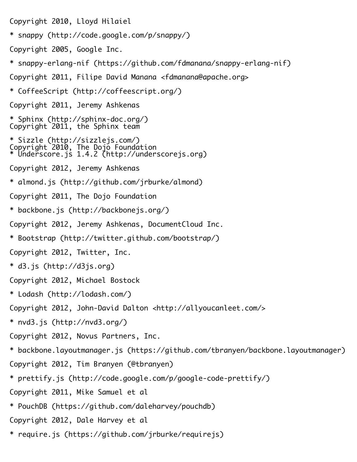Copyright 2010, Lloyd Hilaiel

- \* snappy (http://code.google.com/p/snappy/)
- Copyright 2005, Google Inc.
- \* snappy-erlang-nif (https://github.com/fdmanana/snappy-erlang-nif)
- Copyright 2011, Filipe David Manana <fdmanana@apache.org>
- \* CoffeeScript (http://coffeescript.org/)
- Copyright 2011, Jeremy Ashkenas
- \* Sphinx (http://sphinx-doc.org/) Copyright 2011, the Sphinx team
- \* Sizzle (http://sizzlejs.com/) Copyright 2010, The Dojo Foundation \* Underscore.js 1.4.2 (http://underscorejs.org)
- Copyright 2012, Jeremy Ashkenas
- \* almond.js (http://github.com/jrburke/almond)
- Copyright 2011, The Dojo Foundation
- \* backbone.js (http://backbonejs.org/)
- Copyright 2012, Jeremy Ashkenas, DocumentCloud Inc.
- \* Bootstrap (http://twitter.github.com/bootstrap/)
- Copyright 2012, Twitter, Inc.
- \* d3.js (http://d3js.org)
- Copyright 2012, Michael Bostock
- \* Lodash (http://lodash.com/)
- Copyright 2012, John-David Dalton <http://allyoucanleet.com/>
- \* nvd3.js (http://nvd3.org/)
- Copyright 2012, Novus Partners, Inc.
- \* backbone.layoutmanager.js (https://github.com/tbranyen/backbone.layoutmanager)
- Copyright 2012, Tim Branyen (@tbranyen)
- \* prettify.js (http://code.google.com/p/google-code-prettify/)
- Copyright 2011, Mike Samuel et al
- \* PouchDB (https://github.com/daleharvey/pouchdb)
- Copyright 2012, Dale Harvey et al
- \* require.js (https://github.com/jrburke/requirejs)